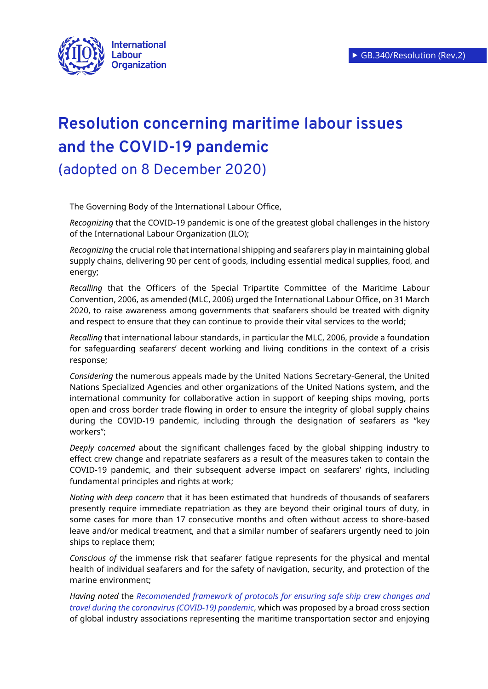

## **Resolution concerning maritime labour issues and the COVID-19 pandemic**

(adopted on 8 December 2020)

The Governing Body of the International Labour Office,

*Recognizing* that the COVID-19 pandemic is one of the greatest global challenges in the history of the International Labour Organization (ILO);

*Recognizing* the crucial role that international shipping and seafarers play in maintaining global supply chains, delivering 90 per cent of goods, including essential medical supplies, food, and energy;

*Recalling* that the [Officers of the Special Tripartite Committee of the Maritime Labour](https://www.ilo.org/wcmsp5/groups/public/---ed_norm/---normes/documents/statement/wcms_740130.pdf)  [Convention, 2006, as amended \(MLC, 2006\) urged the International Labour Office,](https://www.ilo.org/wcmsp5/groups/public/---ed_norm/---normes/documents/statement/wcms_740130.pdf) on 31 March 2020, to raise awareness among governments that seafarers should be treated with dignity and respect to ensure that they can continue to provide their vital services to the world;

*Recalling* that international labour standards, in particular the MLC, 2006, provide a foundation for safeguarding seafarers' decent working and living conditions in the context of a crisis response;

*Considering* the numerous appeals made by the United Nations Secretary-General, the United Nations Specialized Agencies and other organizations of the United Nations system, and the international community for collaborative action in support of keeping ships moving, ports open and cross border trade flowing in order to ensure the integrity of global supply chains during the COVID-19 pandemic, including through the designation of seafarers as "key workers";

*Deeply concerned* about the significant challenges faced by the global shipping industry to effect crew change and repatriate seafarers as a result of the measures taken to contain the COVID-19 pandemic, and their subsequent adverse impact on seafarers' rights, including fundamental principles and rights at work;

*Noting with deep concern* that it has been estimated that hundreds of thousands of seafarers presently require immediate repatriation as they are beyond their original tours of duty, in some cases for more than 17 consecutive months and often without access to shore-based leave and/or medical treatment, and that a similar number of seafarers urgently need to join ships to replace them;

*Conscious of* the immense risk that seafarer fatigue represents for the physical and mental health of individual seafarers and for the safety of navigation, security, and protection of the marine environment;

*Having noted* the *[Recommended framework of protocols for ensuring safe ship crew changes and](https://wwwcdn.imo.org/localresources/en/MediaCentre/HotTopics/Documents/COVID%20CL%204204%20adds/Circular%20Letter%20No.4204-Add.14%20-%20Coronavirus%20(Covid-19)%20-%20Recommended%20Framework%20Of%20Protocols.pdf)  [travel during the coronavirus \(COVID-19\)](https://wwwcdn.imo.org/localresources/en/MediaCentre/HotTopics/Documents/COVID%20CL%204204%20adds/Circular%20Letter%20No.4204-Add.14%20-%20Coronavirus%20(Covid-19)%20-%20Recommended%20Framework%20Of%20Protocols.pdf) pandemic*, which was proposed by a broad cross section of global industry associations representing the maritime transportation sector and enjoying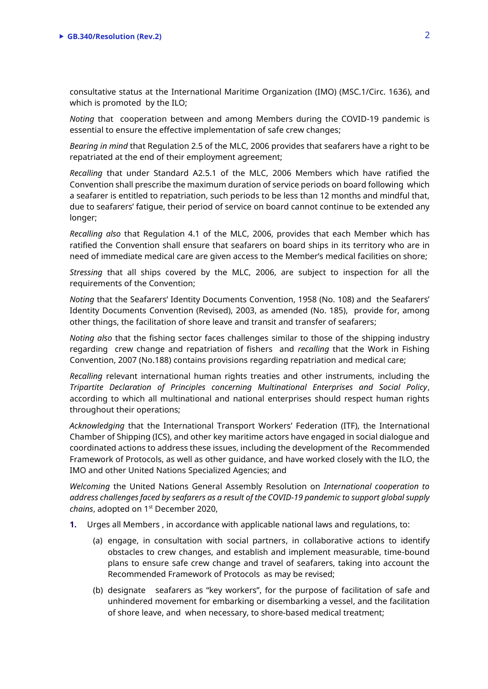consultative status at the International Maritime Organization (IMO) (MSC.1/Circ. 1636), and which is promoted by the ILO;

*Noting* that cooperation between and among Members during the COVID-19 pandemic is essential to ensure the effective implementation of safe crew changes;

*Bearing in mind* that Regulation 2.5 of the MLC, 2006 provides that seafarers have a right to be repatriated at the end of their employment agreement;

*Recalling* that under Standard A2.5.1 of the MLC, 2006 Members which have ratified the Convention shall prescribe the maximum duration of service periods on board following which a seafarer is entitled to repatriation, such periods to be less than 12 months and mindful that, due to seafarers' fatigue, their period of service on board cannot continue to be extended any longer;

*Recalling also* that Regulation 4.1 of the MLC, 2006, provides that each Member which has ratified the Convention shall ensure that seafarers on board ships in its territory who are in need of immediate medical care are given access to the Member's medical facilities on shore;

*Stressing* that all ships covered by the MLC, 2006, are subject to inspection for all the requirements of the Convention;

*Noting* that the Seafarers' Identity Documents Convention, 1958 (No. 108) and the Seafarers' Identity Documents Convention (Revised), 2003, as amended (No. 185), provide for, among other things, the facilitation of shore leave and transit and transfer of seafarers;

*Noting also* that the fishing sector faces challenges similar to those of the shipping industry regarding crew change and repatriation of fishers and *recalling* that the Work in Fishing Convention, 2007 (No.188) contains provisions regarding repatriation and medical care;

*Recalling* relevant international human rights treaties and other instruments, including the *Tripartite Declaration of Principles concerning Multinational Enterprises and Social Policy*, according to which all multinational and national enterprises should respect human rights throughout their operations;

*Acknowledging* that the International Transport Workers' Federation (ITF), the International Chamber of Shipping (ICS), and other key maritime actors have engaged in social dialogue and coordinated actions to address these issues, including the development of the Recommended Framework of Protocols, as well as other guidance, and have worked closely with the ILO, the IMO and other United Nations Specialized Agencies; and

*Welcoming* the United Nations General Assembly Resolution on *International cooperation to address challenges faced by seafarers as a result of the COVID-19 pandemic to support global supply chains*, adopted on 1st December 2020,

**1.** Urges all Members , in accordance with applicable national laws and regulations, to:

- (a) engage, in consultation with social partners, in collaborative actions to identify obstacles to crew changes, and establish and implement measurable, time-bound plans to ensure safe crew change and travel of seafarers, taking into account the Recommended Framework of Protocols as may be revised;
- (b) designate seafarers as "key workers", for the purpose of facilitation of safe and unhindered movement for embarking or disembarking a vessel, and the facilitation of shore leave, and when necessary, to shore-based medical treatment;